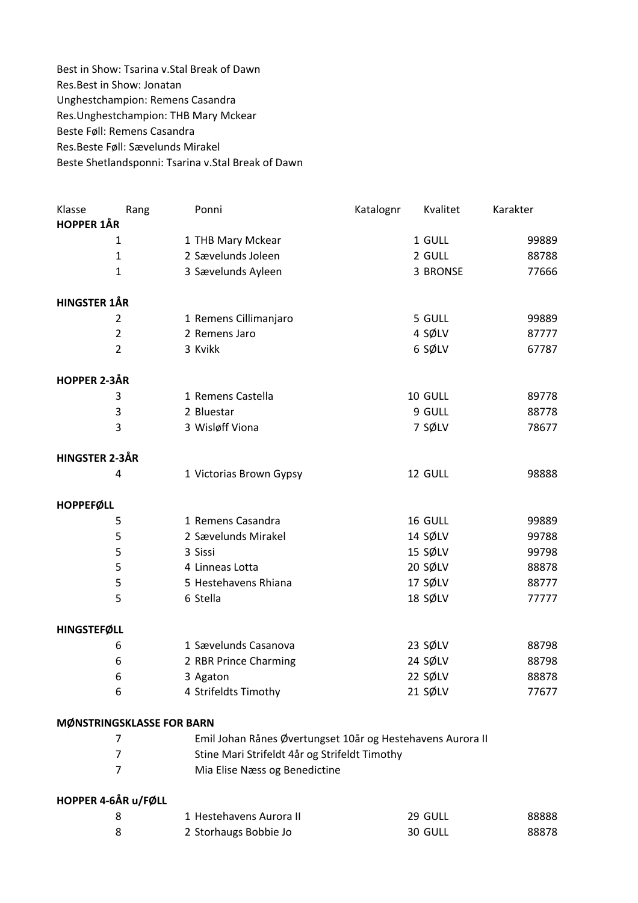Best in Show: Tsarina v.Stal Break of Dawn Res.Best in Show: Jonatan Unghestchampion: Remens Casandra Res.Unghestchampion: THB Mary Mckear Beste Føll: Remens Casandra Res.Beste Føll: Sævelunds Mirakel Beste Shetlandsponni: Tsarina v.Stal Break of Dawn

| Klasse                    | Rang | Ponni                   | Katalognr | Kvalitet | Karakter |  |
|---------------------------|------|-------------------------|-----------|----------|----------|--|
| <b>HOPPER 1ÅR</b>         |      |                         |           |          |          |  |
| 1                         |      | 1 THB Mary Mckear       |           | 1 GULL   | 99889    |  |
| $\mathbf{1}$              |      | 2 Sævelunds Joleen      |           | 2 GULL   | 88788    |  |
| $\mathbf{1}$              |      | 3 Sævelunds Ayleen      |           | 3 BRONSE | 77666    |  |
| <b>HINGSTER 1ÅR</b>       |      |                         |           |          |          |  |
| $\overline{2}$            |      | 1 Remens Cillimanjaro   |           | 5 GULL   | 99889    |  |
| $\overline{2}$            |      | 2 Remens Jaro           |           | 4 SØLV   | 87777    |  |
| $\overline{2}$            |      | 3 Kvikk                 |           | 6 SØLV   | 67787    |  |
| <b>HOPPER 2-3ÅR</b>       |      |                         |           |          |          |  |
| 3                         |      | 1 Remens Castella       |           | 10 GULL  | 89778    |  |
| 3                         |      | 2 Bluestar              |           | 9 GULL   | 88778    |  |
| 3                         |      | 3 Wisløff Viona         |           | 7 SØLV   | 78677    |  |
| HINGSTER 2-3ÅR            |      |                         |           |          |          |  |
| 4                         |      | 1 Victorias Brown Gypsy |           | 12 GULL  | 98888    |  |
| <b>HOPPEFØLL</b>          |      |                         |           |          |          |  |
| 5                         |      | 1 Remens Casandra       |           | 16 GULL  | 99889    |  |
| 5                         |      | 2 Sævelunds Mirakel     |           | 14 SØLV  | 99788    |  |
| 5                         |      | 3 Sissi                 |           | 15 SØLV  | 99798    |  |
| 5                         |      | 4 Linneas Lotta         |           | 20 SØLV  | 88878    |  |
| 5                         |      | 5 Hestehavens Rhiana    |           | 17 SØLV  | 88777    |  |
| 5                         |      | 6 Stella                |           | 18 SØLV  | 77777    |  |
| <b>HINGSTEFØLL</b>        |      |                         |           |          |          |  |
| 6                         |      | 1 Sævelunds Casanova    |           | 23 SØLV  | 88798    |  |
| 6                         |      | 2 RBR Prince Charming   |           | 24 SØLV  | 88798    |  |
| 6                         |      | 3 Agaton                |           | 22 SØLV  | 88878    |  |
| 6                         |      | 4 Strifeldts Timothy    |           | 21 SØLV  | 77677    |  |
| MØNSTRINGSKLASSE FOR BARN |      |                         |           |          |          |  |

| Emil Johan Rånes Øvertungset 10år og Hestehavens Aurora II |
|------------------------------------------------------------|
| Stine Mari Strifeldt 4år og Strifeldt Timothy              |
| Mia Elise Næss og Benedictine                              |

## HOPPER 4-6ÅR u/FØLL

| 1 Hestehavens Aurora II | 29 GULL | 88888 |
|-------------------------|---------|-------|
| 2 Storhaugs Bobbie Jo   | 30 GULL | 88878 |